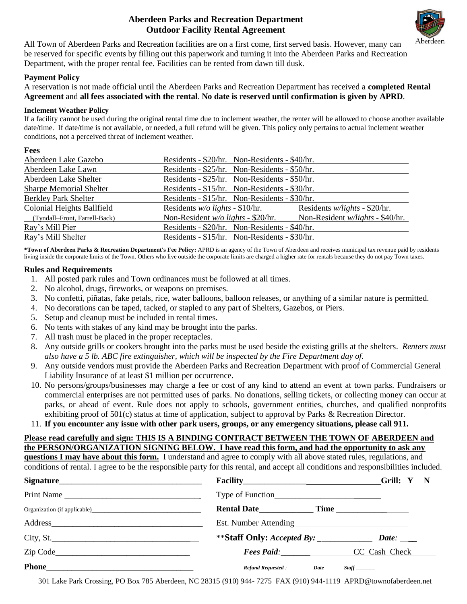### **Aberdeen Parks and Recreation Department Outdoor Facility Rental Agreement**



All Town of Aberdeen Parks and Recreation facilities are on a first come, first served basis. However, many can be reserved for specific events by filling out this paperwork and turning it into the Aberdeen Parks and Recreation Department, with the proper rental fee. Facilities can be rented from dawn till dusk.

#### **Payment Policy**

A reservation is not made official until the Aberdeen Parks and Recreation Department has received a **completed Rental Agreement** and **all fees associated with the rental**. **No date is reserved until confirmation is given by APRD**.

#### **Inclement Weather Policy**

If a facility cannot be used during the original rental time due to inclement weather, the renter will be allowed to choose another available date/time. If date/time is not available, or needed, a full refund will be given. This policy only pertains to actual inclement weather conditions, not a perceived threat of inclement weather.

#### **Fees**

| Aberdeen Lake Gazebo           | Residents - \$20/hr. Non-Residents - \$40/hr. |                                         |
|--------------------------------|-----------------------------------------------|-----------------------------------------|
| Aberdeen Lake Lawn             | Residents - \$25/hr. Non-Residents - \$50/hr. |                                         |
| Aberdeen Lake Shelter          | Residents - \$25/hr. Non-Residents - \$50/hr. |                                         |
| <b>Sharpe Memorial Shelter</b> | Residents - \$15/hr. Non-Residents - \$30/hr. |                                         |
| <b>Berkley Park Shelter</b>    | Residents - \$15/hr. Non-Residents - \$30/hr. |                                         |
| Colonial Heights Ballfield     | Residents $w/o$ lights - \$10/hr.             | Residents <i>w/lights</i> - \$20/hr.    |
| (Tyndall-Front, Farrell-Back)  | Non-Resident $w/o$ lights - \$20/hr.          | Non-Resident <i>w/lights</i> - \$40/hr. |
| Ray's Mill Pier                | Residents - \$20/hr. Non-Residents - \$40/hr. |                                         |
| Ray's Mill Shelter             | Residents - \$15/hr. Non-Residents - \$30/hr. |                                         |

**\*Town of Aberdeen Parks & Recreation Department's Fee Policy:** APRD is an agency of the Town of Aberdeen and receives municipal tax revenue paid by residents living inside the corporate limits of the Town. Others who live outside the corporate limits are charged a higher rate for rentals because they do not pay Town taxes.

#### **Rules and Requirements**

- 1. All posted park rules and Town ordinances must be followed at all times.
- 2. No alcohol, drugs, fireworks, or weapons on premises.
- 3. No confetti, piñatas, fake petals, rice, water balloons, balloon releases, or anything of a similar nature is permitted.
- 4. No decorations can be taped, tacked, or stapled to any part of Shelters, Gazebos, or Piers.
- 5. Setup and cleanup must be included in rental times.
- 6. No tents with stakes of any kind may be brought into the parks.
- 7. All trash must be placed in the proper receptacles.
- 8. Any outside grills or cookers brought into the parks must be used beside the existing grills at the shelters. *Renters must also have a 5 lb. ABC fire extinguisher, which will be inspected by the Fire Department day of.*
- 9. Any outside vendors must provide the Aberdeen Parks and Recreation Department with proof of Commercial General Liability Insurance of at least \$1 million per occurrence.
- 10. No persons/groups/businesses may charge a fee or cost of any kind to attend an event at town parks. Fundraisers or commercial enterprises are not permitted uses of parks. No donations, selling tickets, or collecting money can occur at parks, or ahead of event. Rule does not apply to schools, government entities, churches, and qualified nonprofits exhibiting proof of 501(c) status at time of application, subject to approval by Parks & Recreation Director.
- 11. **If you encounter any issue with other park users, groups, or any emergency situations, please call 911.**

# **Please read carefully and sign: THIS IS A BINDING CONTRACT BETWEEN THE TOWN OF ABERDEEN and the PERSON/ORGANIZATION SIGNING BELOW. I have read this form, and had the opportunity to ask any**

**questions I may have about this form.** I understand and agree to comply with all above stated rules, regulations, and conditions of rental. I agree to be the responsible party for this rental, and accept all conditions and responsibilities included.

|              |                                                                 | Grill: Y              |  |
|--------------|-----------------------------------------------------------------|-----------------------|--|
| Print Name   |                                                                 |                       |  |
|              |                                                                 |                       |  |
|              |                                                                 |                       |  |
| City, St.    |                                                                 | Date: $\qquad \qquad$ |  |
| Zip Code     | Fees Paid: CC Cash Check                                        |                       |  |
| <b>Phone</b> | Refund Requested : ____________ Date___________ Staff _________ |                       |  |

301 Lake Park Crossing, PO Box 785 Aberdeen, NC 28315 (910) 944- 7275 FAX (910) 944-1119 APRD@townofaberdeen.net